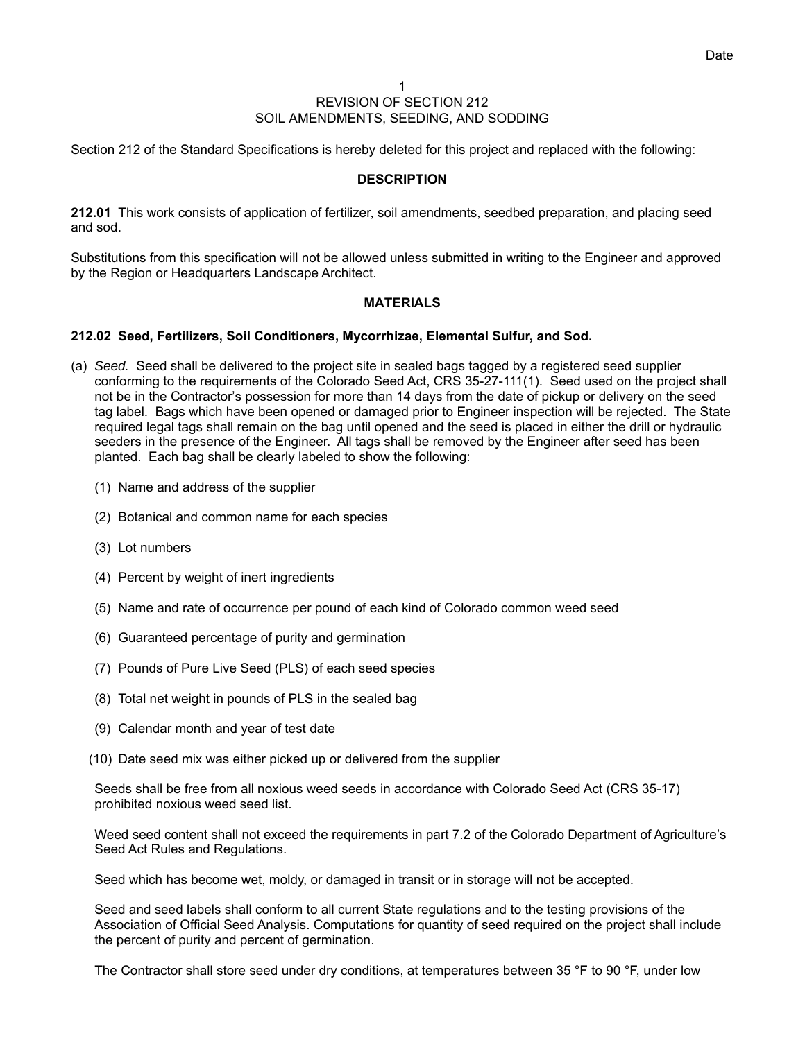Section 212 of the Standard Specifications is hereby deleted for this project and replaced with the following:

## **DESCRIPTION**

**212.01** This work consists of application of fertilizer, soil amendments, seedbed preparation, and placing seed and sod.

Substitutions from this specification will not be allowed unless submitted in writing to the Engineer and approved by the Region or Headquarters Landscape Architect.

## **MATERIALS**

## **212.02 Seed, Fertilizers, Soil Conditioners, Mycorrhizae, Elemental Sulfur, and Sod.**

- (a) *Seed.* Seed shall be delivered to the project site in sealed bags tagged by a registered seed supplier conforming to the requirements of the Colorado Seed Act, CRS 35-27-111(1). Seed used on the project shall not be in the Contractor's possession for more than 14 days from the date of pickup or delivery on the seed tag label. Bags which have been opened or damaged prior to Engineer inspection will be rejected. The State required legal tags shall remain on the bag until opened and the seed is placed in either the drill or hydraulic seeders in the presence of the Engineer. All tags shall be removed by the Engineer after seed has been planted. Each bag shall be clearly labeled to show the following:
	- (1) Name and address of the supplier
	- (2) Botanical and common name for each species
	- (3) Lot numbers
	- (4) Percent by weight of inert ingredients
	- (5) Name and rate of occurrence per pound of each kind of Colorado common weed seed
	- (6) Guaranteed percentage of purity and germination
	- (7) Pounds of Pure Live Seed (PLS) of each seed species
	- (8) Total net weight in pounds of PLS in the sealed bag
	- (9) Calendar month and year of test date
	- (10) Date seed mix was either picked up or delivered from the supplier

Seeds shall be free from all noxious weed seeds in accordance with Colorado Seed Act (CRS 35-17) prohibited noxious weed seed list.

Weed seed content shall not exceed the requirements in part 7.2 of the Colorado Department of Agriculture's Seed Act Rules and Regulations.

Seed which has become wet, moldy, or damaged in transit or in storage will not be accepted.

Seed and seed labels shall conform to all current State regulations and to the testing provisions of the Association of Official Seed Analysis. Computations for quantity of seed required on the project shall include the percent of purity and percent of germination.

The Contractor shall store seed under dry conditions, at temperatures between 35 °F to 90 °F, under low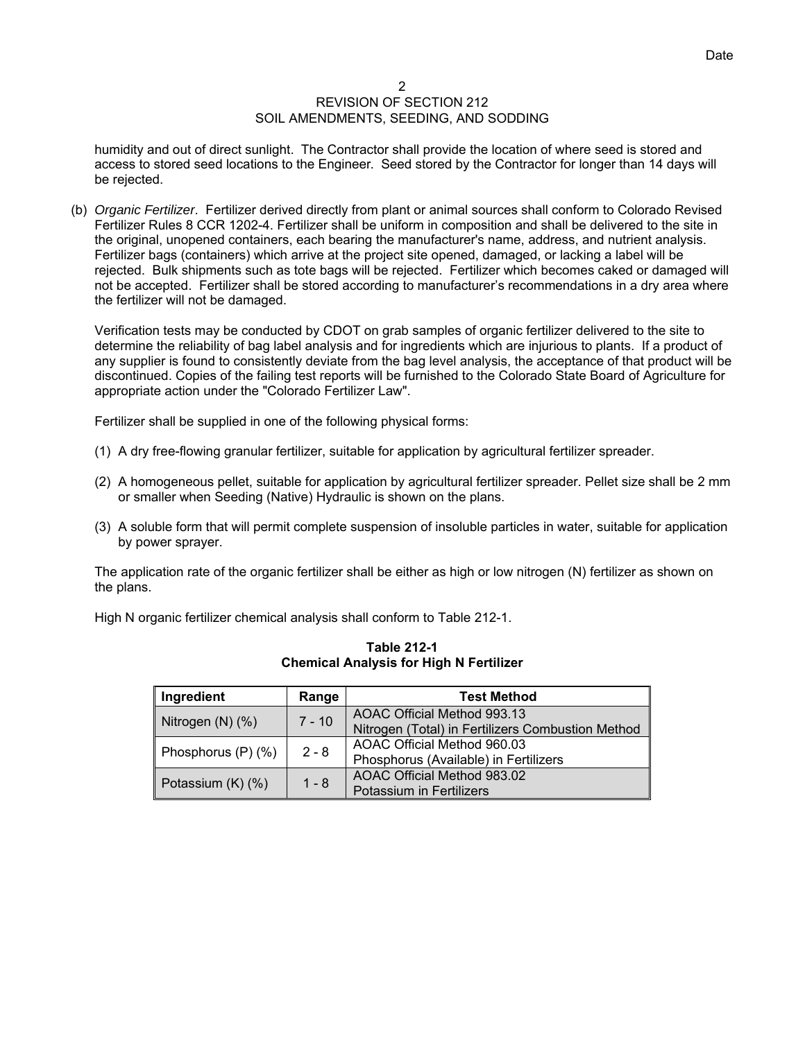humidity and out of direct sunlight. The Contractor shall provide the location of where seed is stored and access to stored seed locations to the Engineer. Seed stored by the Contractor for longer than 14 days will be rejected.

(b) *Organic Fertilizer*. Fertilizer derived directly from plant or animal sources shall conform to Colorado Revised Fertilizer Rules 8 CCR 1202-4. Fertilizer shall be uniform in composition and shall be delivered to the site in the original, unopened containers, each bearing the manufacturer's name, address, and nutrient analysis. Fertilizer bags (containers) which arrive at the project site opened, damaged, or lacking a label will be rejected. Bulk shipments such as tote bags will be rejected. Fertilizer which becomes caked or damaged will not be accepted. Fertilizer shall be stored according to manufacturer's recommendations in a dry area where the fertilizer will not be damaged.

Verification tests may be conducted by CDOT on grab samples of organic fertilizer delivered to the site to determine the reliability of bag label analysis and for ingredients which are injurious to plants. If a product of any supplier is found to consistently deviate from the bag level analysis, the acceptance of that product will be discontinued. Copies of the failing test reports will be furnished to the Colorado State Board of Agriculture for appropriate action under the "Colorado Fertilizer Law".

Fertilizer shall be supplied in one of the following physical forms:

- (1) A dry free-flowing granular fertilizer, suitable for application by agricultural fertilizer spreader.
- (2) A homogeneous pellet, suitable for application by agricultural fertilizer spreader. Pellet size shall be 2 mm or smaller when Seeding (Native) Hydraulic is shown on the plans.
- (3) A soluble form that will permit complete suspension of insoluble particles in water, suitable for application by power sprayer.

The application rate of the organic fertilizer shall be either as high or low nitrogen (N) fertilizer as shown on the plans.

High N organic fertilizer chemical analysis shall conform to Table 212-1.

| Ingredient            | Range   | <b>Test Method</b>                                |
|-----------------------|---------|---------------------------------------------------|
| $7 - 10$              |         | AOAC Official Method 993.13                       |
| Nitrogen $(N)$ $(\%)$ |         | Nitrogen (Total) in Fertilizers Combustion Method |
| Phosphorus (P) (%)    | $2 - 8$ | AOAC Official Method 960.03                       |
|                       |         | Phosphorus (Available) in Fertilizers             |
|                       | $1 - 8$ | AOAC Official Method 983.02                       |
| Potassium (K) (%)     |         | Potassium in Fertilizers                          |

**Table 212-1 Chemical Analysis for High N Fertilizer**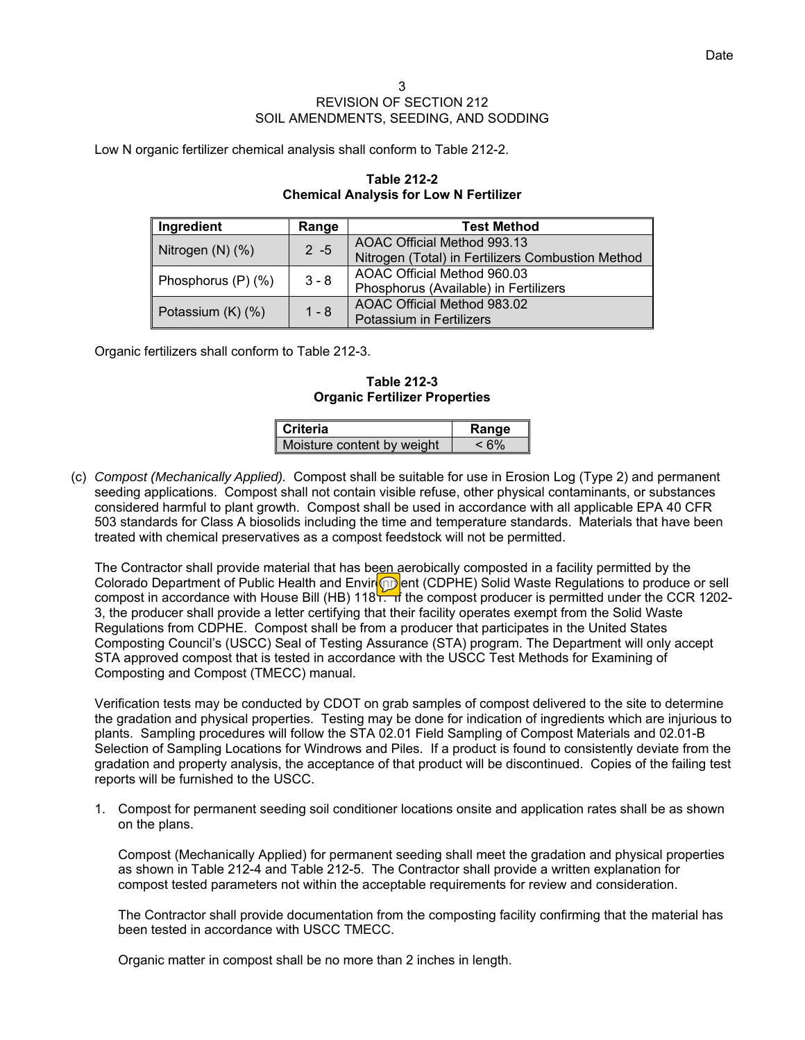Low N organic fertilizer chemical analysis shall conform to Table 212-2.

| Ingredient            | Range   | <b>Test Method</b>                                |
|-----------------------|---------|---------------------------------------------------|
| $2 - 5$               |         | AOAC Official Method 993.13                       |
| Nitrogen $(N)$ $(\%)$ |         | Nitrogen (Total) in Fertilizers Combustion Method |
| Phosphorus (P) (%)    | $3 - 8$ | AOAC Official Method 960.03                       |
|                       |         | Phosphorus (Available) in Fertilizers             |
|                       | $1 - 8$ | AOAC Official Method 983.02                       |
| Potassium (K) (%)     |         | <b>Potassium in Fertilizers</b>                   |

# **Table 212-2 Chemical Analysis for Low N Fertilizer**

Organic fertilizers shall conform to Table 212-3.

**Table 212-3 Organic Fertilizer Properties** 

| l Criteria                 | Range      |
|----------------------------|------------|
| Moisture content by weight | $\leq 6\%$ |

(c) *Compost (Mechanically Applied).* Compost shall be suitable for use in Erosion Log (Type 2) and permanent seeding applications. Compost shall not contain visible refuse, other physical contaminants, or substances considered harmful to plant growth. Compost shall be used in accordance with all applicable EPA 40 CFR 503 standards for Class A biosolids including the time and temperature standards. Materials that have been treated with chemical preservatives as a compost feedstock will not be permitted.

The Contractor shall provide material that has been aerobically composted in a facility permitted by the Colorado Department of Public Health and Envir**op**ent (CDPHE) Solid Waste Regulations to produce or sell compost in accordance with House Bill (HB) 118<sup>1</sup>. If the compost producer is permitted under the CCR 1202-3, the producer shall provide a letter certifying that their facility operates exempt from the Solid Waste Regulations from CDPHE. Compost shall be from a producer that participates in the United States Composting Council's (USCC) Seal of Testing Assurance (STA) program. The Department will only accept STA approved compost that is tested in accordance with the USCC Test Methods for Examining of Composting and Compost (TMECC) manual.

Verification tests may be conducted by CDOT on grab samples of compost delivered to the site to determine the gradation and physical properties. Testing may be done for indication of ingredients which are injurious to plants. Sampling procedures will follow the STA 02.01 Field Sampling of Compost Materials and 02.01-B Selection of Sampling Locations for Windrows and Piles. If a product is found to consistently deviate from the gradation and property analysis, the acceptance of that product will be discontinued. Copies of the failing test reports will be furnished to the USCC.

1. Compost for permanent seeding soil conditioner locations onsite and application rates shall be as shown on the plans.

Compost (Mechanically Applied) for permanent seeding shall meet the gradation and physical properties as shown in Table 212-4 and Table 212-5. The Contractor shall provide a written explanation for compost tested parameters not within the acceptable requirements for review and consideration.

The Contractor shall provide documentation from the composting facility confirming that the material has been tested in accordance with USCC TMECC.

Organic matter in compost shall be no more than 2 inches in length.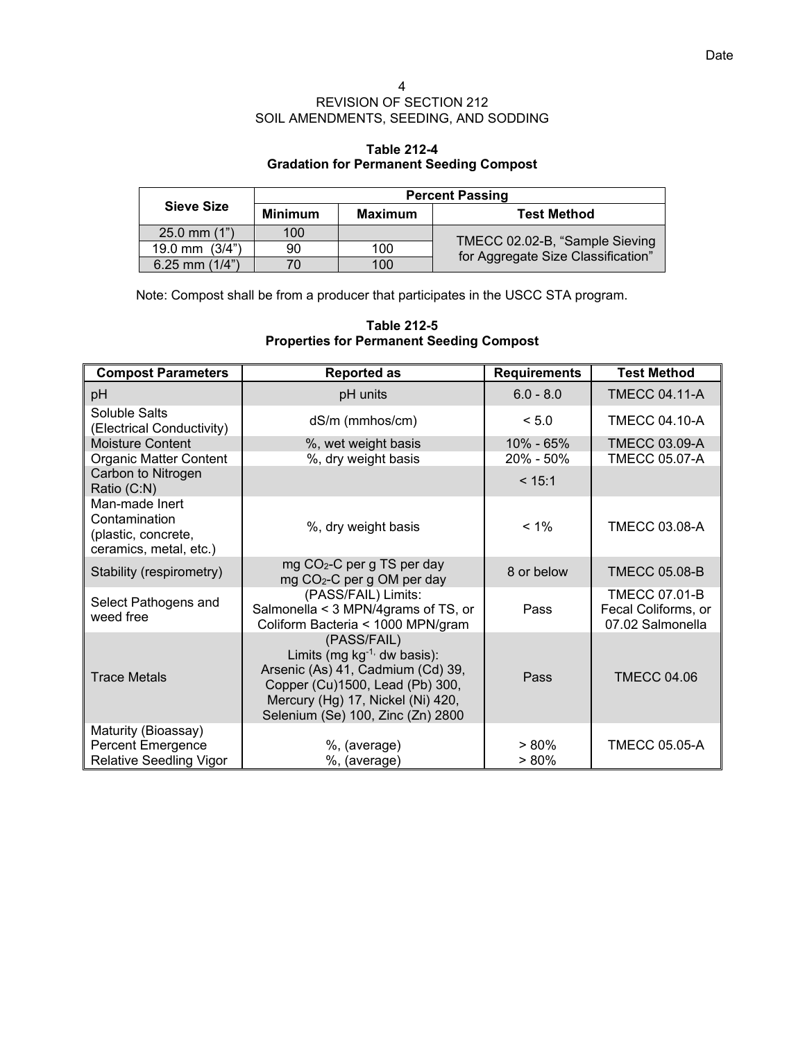# **Table 212-4 Gradation for Permanent Seeding Compost**

|                  |                |         | <b>Percent Passing</b>                                               |
|------------------|----------------|---------|----------------------------------------------------------------------|
| Sieve Size       | <b>Minimum</b> | Maximum | <b>Test Method</b>                                                   |
| $25.0$ mm $(1")$ | 100            |         |                                                                      |
| 19.0 mm $(3/4")$ | 90             | 100     | TMECC 02.02-B, "Sample Sieving<br>for Aggregate Size Classification" |
| 6.25 mm $(1/4")$ | 70             | 100     |                                                                      |

Note: Compost shall be from a producer that participates in the USCC STA program.

| Table 212-5                                     |  |
|-------------------------------------------------|--|
| <b>Properties for Permanent Seeding Compost</b> |  |

| <b>Compost Parameters</b>                                                        | <b>Reported as</b>                                                                                                                                                                                 | <b>Requirements</b>        | <b>Test Method</b>                                              |
|----------------------------------------------------------------------------------|----------------------------------------------------------------------------------------------------------------------------------------------------------------------------------------------------|----------------------------|-----------------------------------------------------------------|
| pH                                                                               | pH units                                                                                                                                                                                           | $6.0 - 8.0$                | <b>TMECC 04.11-A</b>                                            |
| Soluble Salts<br>(Electrical Conductivity)                                       | dS/m (mmhos/cm)                                                                                                                                                                                    | < 5.0                      | <b>TMECC 04.10-A</b>                                            |
| <b>Moisture Content</b><br>Organic Matter Content                                | %, wet weight basis<br>%, dry weight basis                                                                                                                                                         | 10% - 65%<br>$20\% - 50\%$ | <b>TMECC 03.09-A</b><br><b>TMECC 05.07-A</b>                    |
| Carbon to Nitrogen<br>Ratio (C:N)                                                |                                                                                                                                                                                                    | < 15:1                     |                                                                 |
| Man-made Inert<br>Contamination<br>(plastic, concrete,<br>ceramics, metal, etc.) | %, dry weight basis                                                                                                                                                                                | $< 1\%$                    | <b>TMECC 03.08-A</b>                                            |
| Stability (respirometry)                                                         | mg CO <sub>2</sub> -C per g TS per day<br>mg CO <sub>2</sub> -C per g OM per day                                                                                                                   | 8 or below                 | <b>TMECC 05.08-B</b>                                            |
| Select Pathogens and<br>weed free                                                | (PASS/FAIL) Limits:<br>Salmonella < 3 MPN/4grams of TS, or<br>Coliform Bacteria < 1000 MPN/gram                                                                                                    | Pass                       | <b>TMECC 07.01-B</b><br>Fecal Coliforms, or<br>07.02 Salmonella |
| <b>Trace Metals</b>                                                              | (PASS/FAIL)<br>Limits (mg $kg^{-1}$ , dw basis):<br>Arsenic (As) 41, Cadmium (Cd) 39,<br>Copper (Cu)1500, Lead (Pb) 300,<br>Mercury (Hg) 17, Nickel (Ni) 420,<br>Selenium (Se) 100, Zinc (Zn) 2800 | Pass                       | <b>TMECC 04.06</b>                                              |
| Maturity (Bioassay)<br>Percent Emergence<br><b>Relative Seedling Vigor</b>       | %, (average)<br>%, (average)                                                                                                                                                                       | $>80\%$<br>$> 80\%$        | <b>TMECC 05.05-A</b>                                            |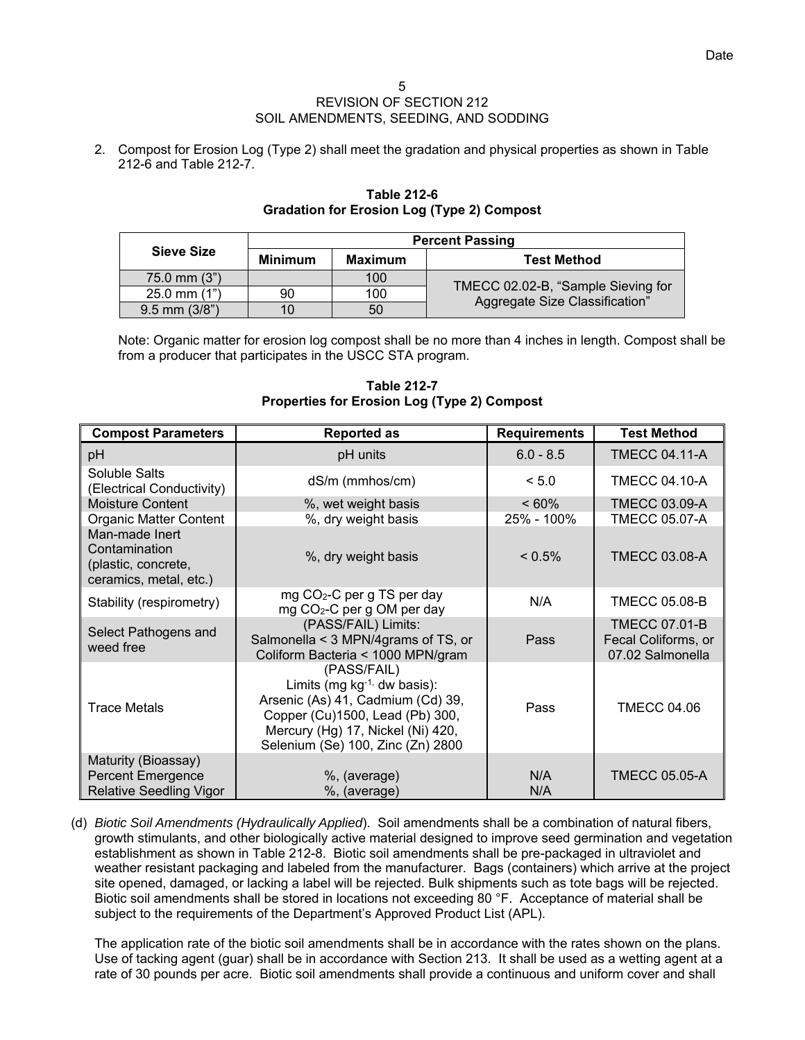2. Compost for Erosion Log (Type 2) shall meet the gradation and physical properties as shown in Table 212-6 and Table 212-7.

|                   |                |                | <b>Percent Passing</b>                                               |
|-------------------|----------------|----------------|----------------------------------------------------------------------|
| Sieve Size        | <b>Minimum</b> | <b>Maximum</b> | <b>Test Method</b>                                                   |
| $75.0$ mm $(3")$  |                | 100            |                                                                      |
| $25.0$ mm $(1")$  | 90             | 100            | TMECC 02.02-B, "Sample Sieving for<br>Aggregate Size Classification" |
| $9.5$ mm $(3/8")$ | 10             | 50             |                                                                      |

# **Table 212-6 Gradation for Erosion Log (Type 2) Compost**

Note: Organic matter for erosion log compost shall be no more than 4 inches in length. Compost shall be from a producer that participates in the USCC STA program.

**Compost Parameters | Reported as All Requirements | Test Method in the Reported as All Requirements | Test Method** pH **bH pH units**  $\vert$  6.0 - 8.5 TMECC 04.11-A Soluble Salts (Electrical Conductivity) dS/m (mmhos/cm) < 5.0 TMECC 04.10-A Moisture Content %, wet weight basis < 60% TMECC 03.09-A Organic Matter Content %, dry weight basis 25% - 100% TMECC 05.07-A Man-made Inert **Contamination** (plastic, concrete, ceramics, metal, etc.) %, dry weight basis < 0.5% TMECC 03.08-A Stability (respirometry) mg CO<sub>2</sub>-C per g TS per day mg CO<sub>2</sub>-C per g TS per day<br>mg CO<sub>2</sub>-C per g OM per day M/A TMECC 05.08-B Select Pathogens and weed free (PASS/FAIL) Limits: Salmonella < 3 MPN/4grams of TS, or Coliform Bacteria < 1000 MPN/gram Pass TMECC 07.01-B Fecal Coliforms, or 07.02 Salmonella Trace Metals (PASS/FAIL) Limits (mg  $kg^{-1}$ , dw basis): Arsenic (As) 41, Cadmium (Cd) 39, Copper (Cu)1500, Lead (Pb) 300, Mercury (Hg) 17, Nickel (Ni) 420, Selenium (Se) 100, Zinc (Zn) 2800 Pass **F** TMECC 04.06 Maturity (Bioassay) Percent Emergence %, (average) N/A TMECC 05.05-A Relative Seedling Vigor |  $\%$ , (average) N/A

# **Table 212-7 Properties for Erosion Log (Type 2) Compost**

(d) *Biotic Soil Amendments (Hydraulically Applied*). Soil amendments shall be a combination of natural fibers, growth stimulants, and other biologically active material designed to improve seed germination and vegetation establishment as shown in Table 212-8. Biotic soil amendments shall be pre-packaged in ultraviolet and weather resistant packaging and labeled from the manufacturer. Bags (containers) which arrive at the project site opened, damaged, or lacking a label will be rejected. Bulk shipments such as tote bags will be rejected. Biotic soil amendments shall be stored in locations not exceeding 80 °F. Acceptance of material shall be subject to the requirements of the Department's Approved Product List (APL).

The application rate of the biotic soil amendments shall be in accordance with the rates shown on the plans. Use of tacking agent (guar) shall be in accordance with Section 213. It shall be used as a wetting agent at a rate of 30 pounds per acre. Biotic soil amendments shall provide a continuous and uniform cover and shall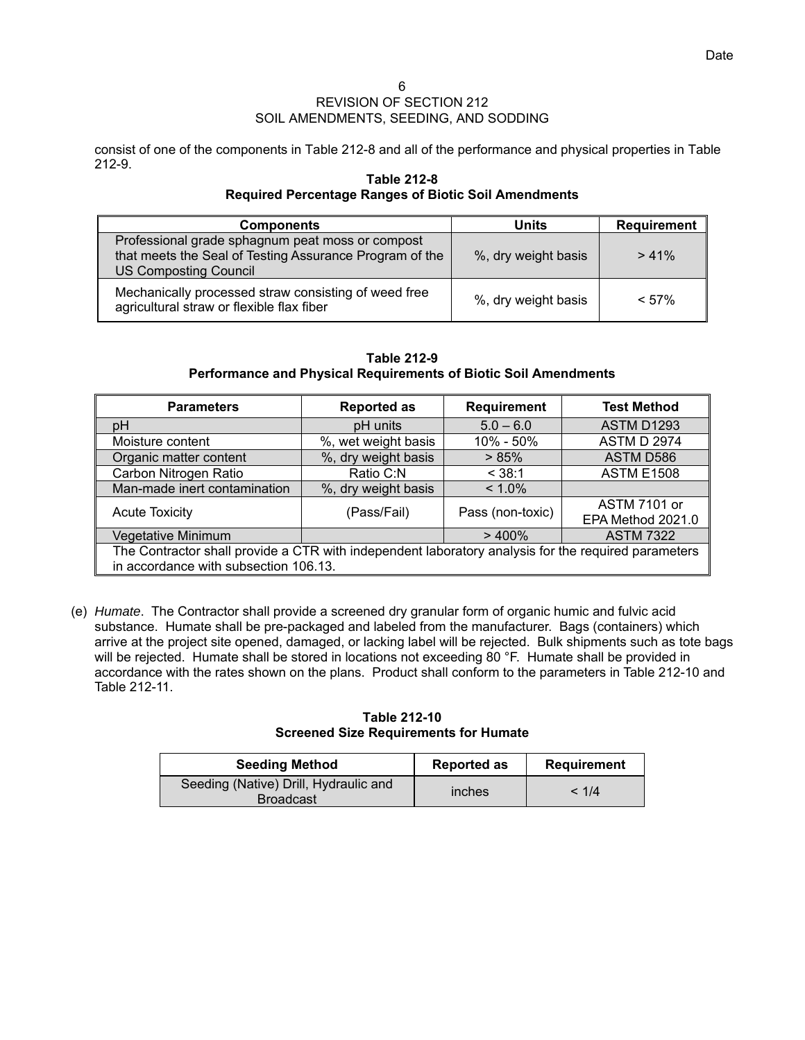consist of one of the components in Table 212-8 and all of the performance and physical properties in Table 212-9.

## **Table 212-8 Required Percentage Ranges of Biotic Soil Amendments**

| <b>Components</b>                                                                                                                           | Units               | Requirement |
|---------------------------------------------------------------------------------------------------------------------------------------------|---------------------|-------------|
| Professional grade sphagnum peat moss or compost<br>that meets the Seal of Testing Assurance Program of the<br><b>US Composting Council</b> | %, dry weight basis | > 41%       |
| Mechanically processed straw consisting of weed free<br>agricultural straw or flexible flax fiber                                           | %, dry weight basis | $< 57\%$    |

### **Table 212-9 Performance and Physical Requirements of Biotic Soil Amendments**

| <b>Parameters</b>                                                                                   | <b>Reported as</b>  | <b>Requirement</b> | <b>Test Method</b>  |  |
|-----------------------------------------------------------------------------------------------------|---------------------|--------------------|---------------------|--|
| pH                                                                                                  | pH units            | $5.0 - 6.0$        | <b>ASTM D1293</b>   |  |
| Moisture content                                                                                    | %, wet weight basis | 10% - 50%          | <b>ASTM D 2974</b>  |  |
| Organic matter content                                                                              | %, dry weight basis | > 85%              | ASTM D586           |  |
| Carbon Nitrogen Ratio                                                                               | Ratio C:N           | < 38:1             | <b>ASTM E1508</b>   |  |
| Man-made inert contamination                                                                        | %, dry weight basis | $< 1.0\%$          |                     |  |
| <b>Acute Toxicity</b>                                                                               | (Pass/Fail)         | Pass (non-toxic)   | <b>ASTM 7101 or</b> |  |
|                                                                                                     |                     |                    | EPA Method 2021.0   |  |
| Vegetative Minimum                                                                                  |                     | >400%              | <b>ASTM 7322</b>    |  |
| The Contractor shall provide a CTR with independent laboratory analysis for the required parameters |                     |                    |                     |  |
| in accordance with subsection 106.13.                                                               |                     |                    |                     |  |

(e) *Humate*. The Contractor shall provide a screened dry granular form of organic humic and fulvic acid substance. Humate shall be pre-packaged and labeled from the manufacturer. Bags (containers) which arrive at the project site opened, damaged, or lacking label will be rejected. Bulk shipments such as tote bags will be rejected. Humate shall be stored in locations not exceeding 80 °F. Humate shall be provided in accordance with the rates shown on the plans. Product shall conform to the parameters in Table 212-10 and Table 212-11.

## **Table 212-10 Screened Size Requirements for Humate**

| <b>Seeding Method</b>                                     | <b>Reported as</b> | <b>Requirement</b> |
|-----------------------------------------------------------|--------------------|--------------------|
| Seeding (Native) Drill, Hydraulic and<br><b>Broadcast</b> | inches             | < 1/4              |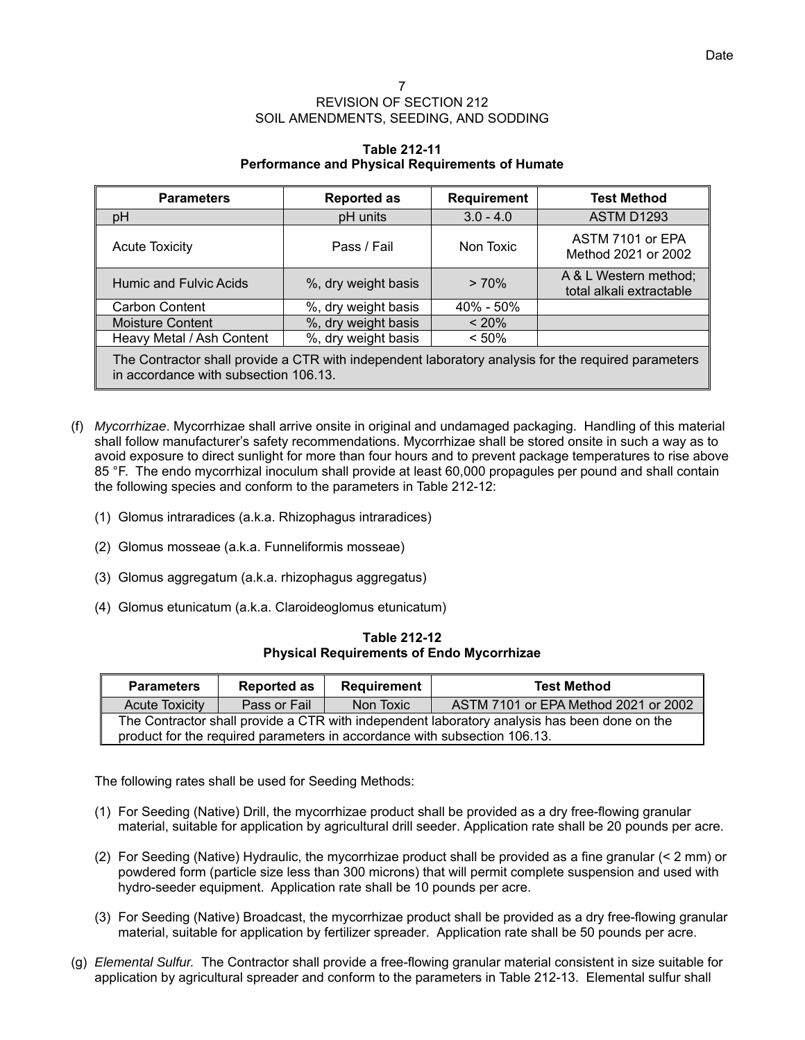# **Table 212-11 Performance and Physical Requirements of Humate**

| <b>Parameters</b>                                                                                                                            | <b>Reported as</b>  | <b>Requirement</b> | <b>Test Method</b>                                |
|----------------------------------------------------------------------------------------------------------------------------------------------|---------------------|--------------------|---------------------------------------------------|
| pH                                                                                                                                           | pH units            | $3.0 - 4.0$        | <b>ASTM D1293</b>                                 |
| <b>Acute Toxicity</b>                                                                                                                        | Pass / Fail         | Non Toxic          | ASTM 7101 or EPA<br>Method 2021 or 2002           |
| <b>Humic and Fulvic Acids</b>                                                                                                                | %, dry weight basis | > 70%              | A & L Western method;<br>total alkali extractable |
| <b>Carbon Content</b>                                                                                                                        | %, dry weight basis | $40\% - 50\%$      |                                                   |
| <b>Moisture Content</b>                                                                                                                      | %, dry weight basis | $~120\%$           |                                                   |
| Heavy Metal / Ash Content                                                                                                                    | %, dry weight basis | < 50%              |                                                   |
| The Contractor shall provide a CTR with independent laboratory analysis for the required parameters<br>in accordance with subsection 106.13. |                     |                    |                                                   |

- (f) *Mycorrhizae*. Mycorrhizae shall arrive onsite in original and undamaged packaging. Handling of this material shall follow manufacturer's safety recommendations. Mycorrhizae shall be stored onsite in such a way as to avoid exposure to direct sunlight for more than four hours and to prevent package temperatures to rise above 85 °F. The endo mycorrhizal inoculum shall provide at least 60,000 propagules per pound and shall contain the following species and conform to the parameters in Table 212-12:
	- (1) Glomus intraradices (a.k.a. Rhizophagus intraradices)
	- (2) Glomus mosseae (a.k.a. Funneliformis mosseae)
	- (3) Glomus aggregatum (a.k.a. rhizophagus aggregatus)
	- (4) Glomus etunicatum (a.k.a. Claroideoglomus etunicatum)

**Table 212-12 Physical Requirements of Endo Mycorrhizae** 

| <b>Parameters</b>                                                                            | <b>Reported as</b> | Requirement | <b>Test Method</b>                   |  |
|----------------------------------------------------------------------------------------------|--------------------|-------------|--------------------------------------|--|
| <b>Acute Toxicity</b>                                                                        | Pass or Fail       | Non Toxic   | ASTM 7101 or EPA Method 2021 or 2002 |  |
| The Contractor shall provide a CTR with independent laboratory analysis has been done on the |                    |             |                                      |  |
| product for the required parameters in accordance with subsection 106.13.                    |                    |             |                                      |  |

The following rates shall be used for Seeding Methods:

- (1) For Seeding (Native) Drill, the mycorrhizae product shall be provided as a dry free-flowing granular material, suitable for application by agricultural drill seeder. Application rate shall be 20 pounds per acre.
- (2) For Seeding (Native) Hydraulic, the mycorrhizae product shall be provided as a fine granular (< 2 mm) or powdered form (particle size less than 300 microns) that will permit complete suspension and used with hydro-seeder equipment. Application rate shall be 10 pounds per acre.
- (3) For Seeding (Native) Broadcast, the mycorrhizae product shall be provided as a dry free-flowing granular material, suitable for application by fertilizer spreader. Application rate shall be 50 pounds per acre.
- (g) *Elemental Sulfur.* The Contractor shall provide a free-flowing granular material consistent in size suitable for application by agricultural spreader and conform to the parameters in Table 212-13. Elemental sulfur shall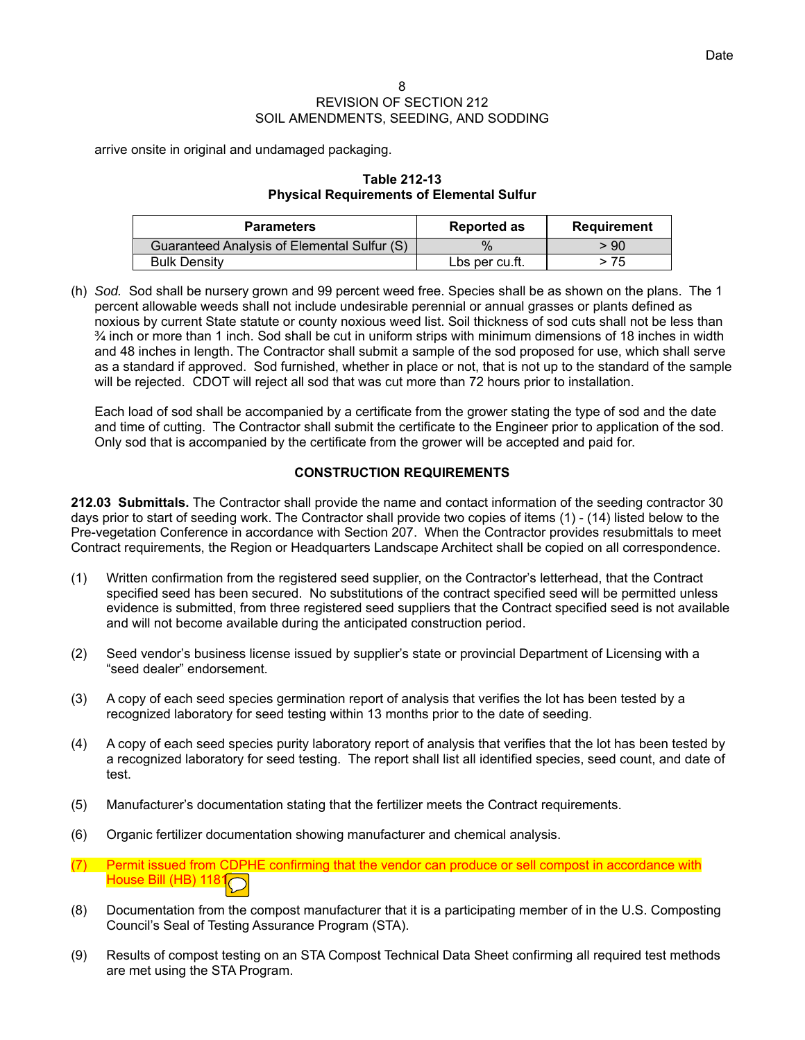arrive onsite in original and undamaged packaging.

## **Table 212-13 Physical Requirements of Elemental Sulfur**

| <b>Parameters</b>                           | <b>Reported as</b> | Requirement |
|---------------------------------------------|--------------------|-------------|
| Guaranteed Analysis of Elemental Sulfur (S) |                    | - 90        |
| <b>Bulk Density</b>                         | Lbs per cu.ft.     | > 75        |

(h) *Sod.* Sod shall be nursery grown and 99 percent weed free. Species shall be as shown on the plans. The 1 percent allowable weeds shall not include undesirable perennial or annual grasses or plants defined as noxious by current State statute or county noxious weed list. Soil thickness of sod cuts shall not be less than  $\frac{3}{4}$  inch or more than 1 inch. Sod shall be cut in uniform strips with minimum dimensions of 18 inches in width and 48 inches in length. The Contractor shall submit a sample of the sod proposed for use, which shall serve as a standard if approved. Sod furnished, whether in place or not, that is not up to the standard of the sample will be rejected. CDOT will reject all sod that was cut more than 72 hours prior to installation.

Each load of sod shall be accompanied by a certificate from the grower stating the type of sod and the date and time of cutting. The Contractor shall submit the certificate to the Engineer prior to application of the sod. Only sod that is accompanied by the certificate from the grower will be accepted and paid for.

# **CONSTRUCTION REQUIREMENTS**

**212.03 Submittals.** The Contractor shall provide the name and contact information of the seeding contractor 30 days prior to start of seeding work. The Contractor shall provide two copies of items (1) - (14) listed below to the Pre-vegetation Conference in accordance with Section 207. When the Contractor provides resubmittals to meet Contract requirements, the Region or Headquarters Landscape Architect shall be copied on all correspondence.

- (1) Written confirmation from the registered seed supplier, on the Contractor's letterhead, that the Contract specified seed has been secured. No substitutions of the contract specified seed will be permitted unless evidence is submitted, from three registered seed suppliers that the Contract specified seed is not available and will not become available during the anticipated construction period.
- (2) Seed vendor's business license issued by supplier's state or provincial Department of Licensing with a "seed dealer" endorsement.
- (3) A copy of each seed species germination report of analysis that verifies the lot has been tested by a recognized laboratory for seed testing within 13 months prior to the date of seeding.
- (4) A copy of each seed species purity laboratory report of analysis that verifies that the lot has been tested by a recognized laboratory for seed testing. The report shall list all identified species, seed count, and date of test.
- (5) Manufacturer's documentation stating that the fertilizer meets the Contract requirements.
- (6) Organic fertilizer documentation showing manufacturer and chemical analysis.
- (7) Permit issued from CDPHE confirming that the vendor can produce or sell compost in accordance with House Bill (HB) 1181
- (8) Documentation from the compost manufacturer that it is a participating member of in the U.S. Composting Council's Seal of Testing Assurance Program (STA).
- (9) Results of compost testing on an STA Compost Technical Data Sheet confirming all required test methods are met using the STA Program.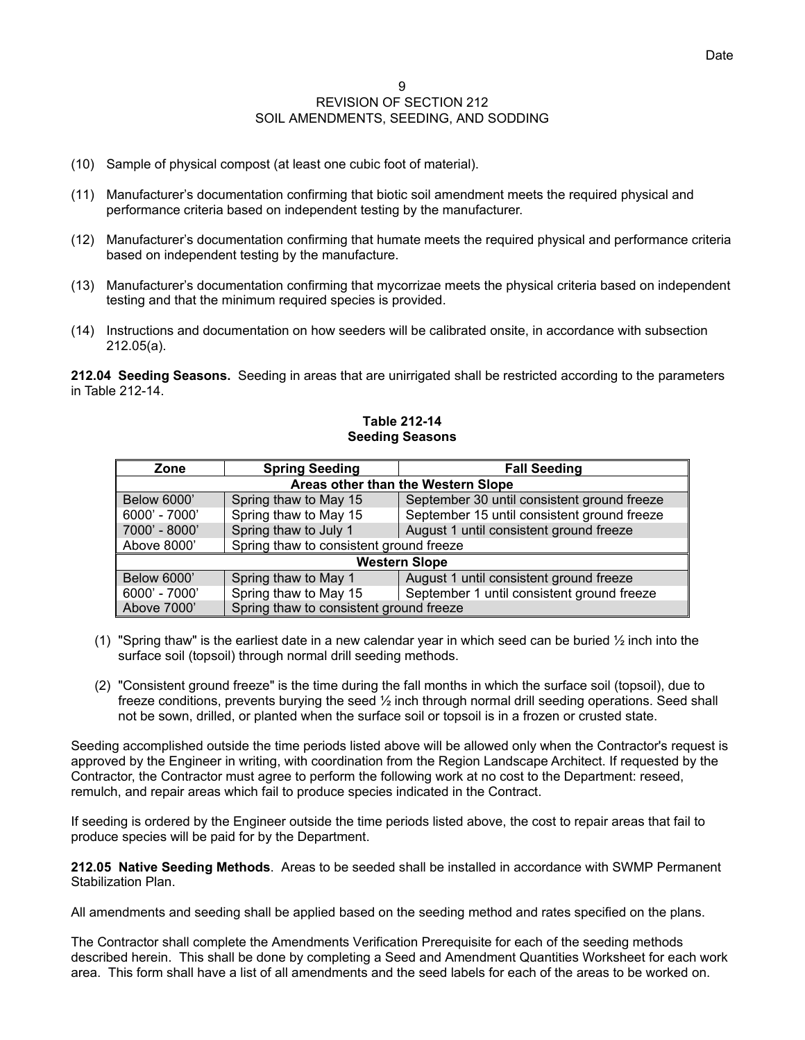- (10) Sample of physical compost (at least one cubic foot of material).
- (11) Manufacturer's documentation confirming that biotic soil amendment meets the required physical and performance criteria based on independent testing by the manufacturer.
- (12) Manufacturer's documentation confirming that humate meets the required physical and performance criteria based on independent testing by the manufacture.
- (13) Manufacturer's documentation confirming that mycorrizae meets the physical criteria based on independent testing and that the minimum required species is provided.
- (14) Instructions and documentation on how seeders will be calibrated onsite, in accordance with subsection 212.05(a).

**212.04 Seeding Seasons.** Seeding in areas that are unirrigated shall be restricted according to the parameters in Table 212-14.

# **Zone | Spring Seeding | Fall Seeding Areas other than the Western Slope**  Below 6000' Spring thaw to May 15 September 30 until consistent ground freeze 6000' - 7000' Spring thaw to May 15 September 15 until consistent ground freeze 7000' - 8000' Spring thaw to July 1 August 1 until consistent ground freeze Above 8000' Spring thaw to consistent ground freeze **Western Slope**  Below 6000' Spring thaw to May 1 August 1 until consistent ground freeze 6000' - 7000' Spring thaw to May 15 September 1 until consistent ground freeze Above 7000' Spring thaw to consistent ground freeze

## **Table 212-14 Seeding Seasons**

- (1) "Spring thaw" is the earliest date in a new calendar year in which seed can be buried  $\frac{1}{2}$  inch into the surface soil (topsoil) through normal drill seeding methods.
- (2) "Consistent ground freeze" is the time during the fall months in which the surface soil (topsoil), due to freeze conditions, prevents burying the seed ½ inch through normal drill seeding operations. Seed shall not be sown, drilled, or planted when the surface soil or topsoil is in a frozen or crusted state.

Seeding accomplished outside the time periods listed above will be allowed only when the Contractor's request is approved by the Engineer in writing, with coordination from the Region Landscape Architect. If requested by the Contractor, the Contractor must agree to perform the following work at no cost to the Department: reseed, remulch, and repair areas which fail to produce species indicated in the Contract.

If seeding is ordered by the Engineer outside the time periods listed above, the cost to repair areas that fail to produce species will be paid for by the Department.

**212.05 Native Seeding Methods**. Areas to be seeded shall be installed in accordance with SWMP Permanent Stabilization Plan.

All amendments and seeding shall be applied based on the seeding method and rates specified on the plans.

The Contractor shall complete the Amendments Verification Prerequisite for each of the seeding methods described herein. This shall be done by completing a Seed and Amendment Quantities Worksheet for each work area. This form shall have a list of all amendments and the seed labels for each of the areas to be worked on.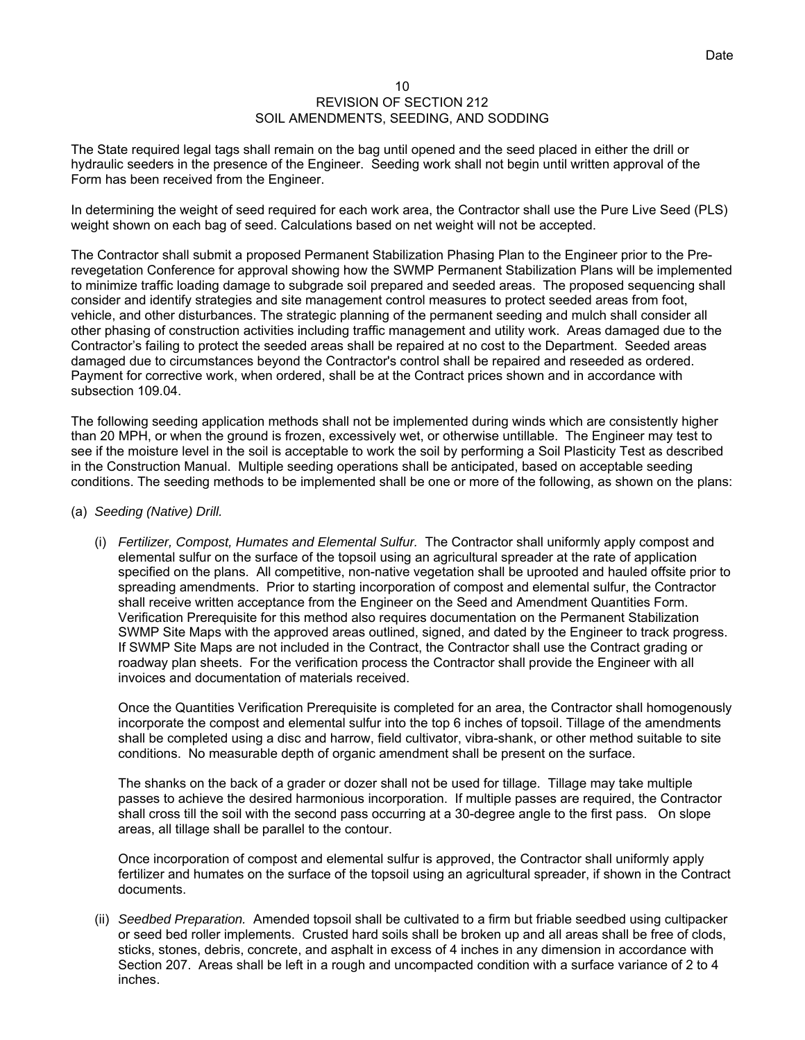The State required legal tags shall remain on the bag until opened and the seed placed in either the drill or hydraulic seeders in the presence of the Engineer. Seeding work shall not begin until written approval of the Form has been received from the Engineer.

In determining the weight of seed required for each work area, the Contractor shall use the Pure Live Seed (PLS) weight shown on each bag of seed. Calculations based on net weight will not be accepted.

The Contractor shall submit a proposed Permanent Stabilization Phasing Plan to the Engineer prior to the Prerevegetation Conference for approval showing how the SWMP Permanent Stabilization Plans will be implemented to minimize traffic loading damage to subgrade soil prepared and seeded areas. The proposed sequencing shall consider and identify strategies and site management control measures to protect seeded areas from foot, vehicle, and other disturbances. The strategic planning of the permanent seeding and mulch shall consider all other phasing of construction activities including traffic management and utility work. Areas damaged due to the Contractor's failing to protect the seeded areas shall be repaired at no cost to the Department. Seeded areas damaged due to circumstances beyond the Contractor's control shall be repaired and reseeded as ordered. Payment for corrective work, when ordered, shall be at the Contract prices shown and in accordance with subsection 109.04.

The following seeding application methods shall not be implemented during winds which are consistently higher than 20 MPH, or when the ground is frozen, excessively wet, or otherwise untillable. The Engineer may test to see if the moisture level in the soil is acceptable to work the soil by performing a Soil Plasticity Test as described in the Construction Manual. Multiple seeding operations shall be anticipated, based on acceptable seeding conditions. The seeding methods to be implemented shall be one or more of the following, as shown on the plans:

- (a) *Seeding (Native) Drill.*
	- (i) *Fertilizer, Compost, Humates and Elemental Sulfur.* The Contractor shall uniformly apply compost and elemental sulfur on the surface of the topsoil using an agricultural spreader at the rate of application specified on the plans. All competitive, non-native vegetation shall be uprooted and hauled offsite prior to spreading amendments. Prior to starting incorporation of compost and elemental sulfur, the Contractor shall receive written acceptance from the Engineer on the Seed and Amendment Quantities Form. Verification Prerequisite for this method also requires documentation on the Permanent Stabilization SWMP Site Maps with the approved areas outlined, signed, and dated by the Engineer to track progress. If SWMP Site Maps are not included in the Contract, the Contractor shall use the Contract grading or roadway plan sheets. For the verification process the Contractor shall provide the Engineer with all invoices and documentation of materials received.

Once the Quantities Verification Prerequisite is completed for an area, the Contractor shall homogenously incorporate the compost and elemental sulfur into the top 6 inches of topsoil. Tillage of the amendments shall be completed using a disc and harrow, field cultivator, vibra-shank, or other method suitable to site conditions. No measurable depth of organic amendment shall be present on the surface.

The shanks on the back of a grader or dozer shall not be used for tillage. Tillage may take multiple passes to achieve the desired harmonious incorporation. If multiple passes are required, the Contractor shall cross till the soil with the second pass occurring at a 30-degree angle to the first pass. On slope areas, all tillage shall be parallel to the contour.

Once incorporation of compost and elemental sulfur is approved, the Contractor shall uniformly apply fertilizer and humates on the surface of the topsoil using an agricultural spreader, if shown in the Contract documents.

(ii) *Seedbed Preparation.* Amended topsoil shall be cultivated to a firm but friable seedbed using cultipacker or seed bed roller implements. Crusted hard soils shall be broken up and all areas shall be free of clods, sticks, stones, debris, concrete, and asphalt in excess of 4 inches in any dimension in accordance with Section 207. Areas shall be left in a rough and uncompacted condition with a surface variance of 2 to 4 inches.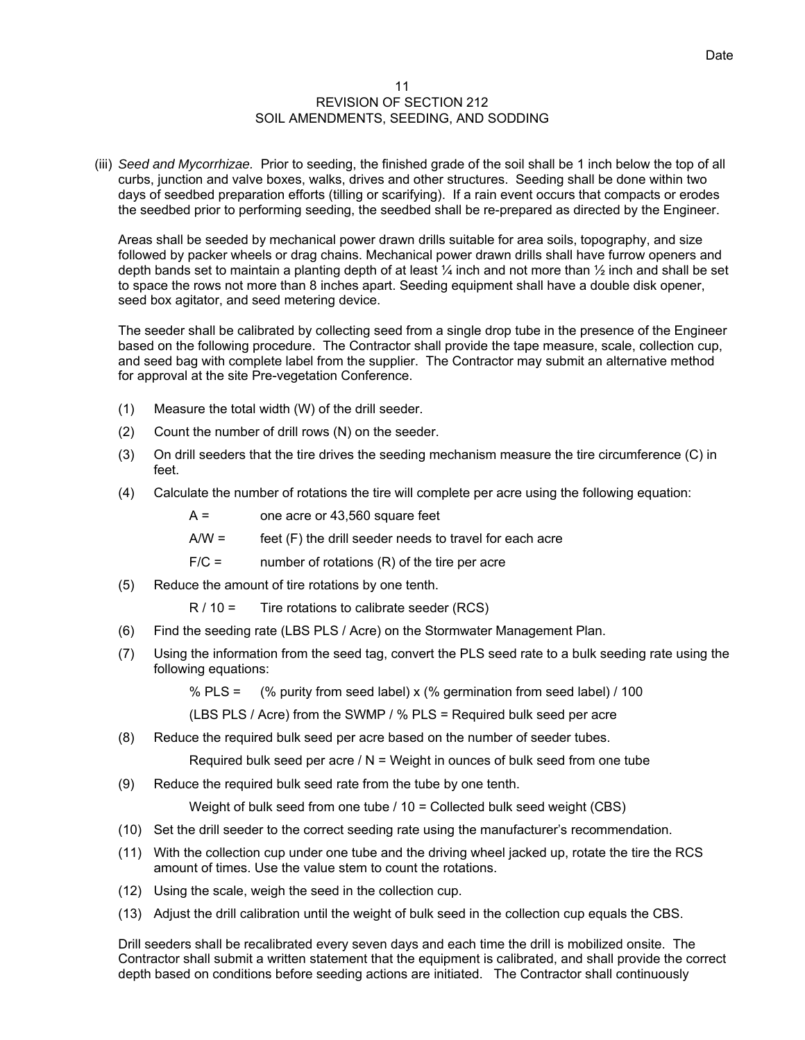(iii) *Seed and Mycorrhizae.* Prior to seeding, the finished grade of the soil shall be 1 inch below the top of all curbs, junction and valve boxes, walks, drives and other structures. Seeding shall be done within two days of seedbed preparation efforts (tilling or scarifying). If a rain event occurs that compacts or erodes the seedbed prior to performing seeding, the seedbed shall be re-prepared as directed by the Engineer.

Areas shall be seeded by mechanical power drawn drills suitable for area soils, topography, and size followed by packer wheels or drag chains. Mechanical power drawn drills shall have furrow openers and depth bands set to maintain a planting depth of at least ¼ inch and not more than ½ inch and shall be set to space the rows not more than 8 inches apart. Seeding equipment shall have a double disk opener, seed box agitator, and seed metering device.

The seeder shall be calibrated by collecting seed from a single drop tube in the presence of the Engineer based on the following procedure. The Contractor shall provide the tape measure, scale, collection cup, and seed bag with complete label from the supplier. The Contractor may submit an alternative method for approval at the site Pre-vegetation Conference.

- (1) Measure the total width (W) of the drill seeder.
- (2) Count the number of drill rows (N) on the seeder.
- (3) On drill seeders that the tire drives the seeding mechanism measure the tire circumference (C) in feet.
- (4) Calculate the number of rotations the tire will complete per acre using the following equation:

 $A =$  one acre or 43,560 square feet

 $A/W =$  feet  $(F)$  the drill seeder needs to travel for each acre

 $F/C =$  number of rotations  $(R)$  of the tire per acre

(5) Reduce the amount of tire rotations by one tenth.

 $R / 10 =$  Tire rotations to calibrate seeder (RCS)

- (6) Find the seeding rate (LBS PLS / Acre) on the Stormwater Management Plan.
- (7) Using the information from the seed tag, convert the PLS seed rate to a bulk seeding rate using the following equations:

% PLS =  $(%$  purity from seed label) x  $(% )$  germination from seed label) / 100

(LBS PLS / Acre) from the SWMP / % PLS = Required bulk seed per acre

(8) Reduce the required bulk seed per acre based on the number of seeder tubes.

Required bulk seed per acre  $/N =$  Weight in ounces of bulk seed from one tube

(9) Reduce the required bulk seed rate from the tube by one tenth.

Weight of bulk seed from one tube / 10 = Collected bulk seed weight (CBS)

- (10) Set the drill seeder to the correct seeding rate using the manufacturer's recommendation.
- (11) With the collection cup under one tube and the driving wheel jacked up, rotate the tire the RCS amount of times. Use the value stem to count the rotations.
- (12) Using the scale, weigh the seed in the collection cup.
- (13) Adjust the drill calibration until the weight of bulk seed in the collection cup equals the CBS.

Drill seeders shall be recalibrated every seven days and each time the drill is mobilized onsite. The Contractor shall submit a written statement that the equipment is calibrated, and shall provide the correct depth based on conditions before seeding actions are initiated. The Contractor shall continuously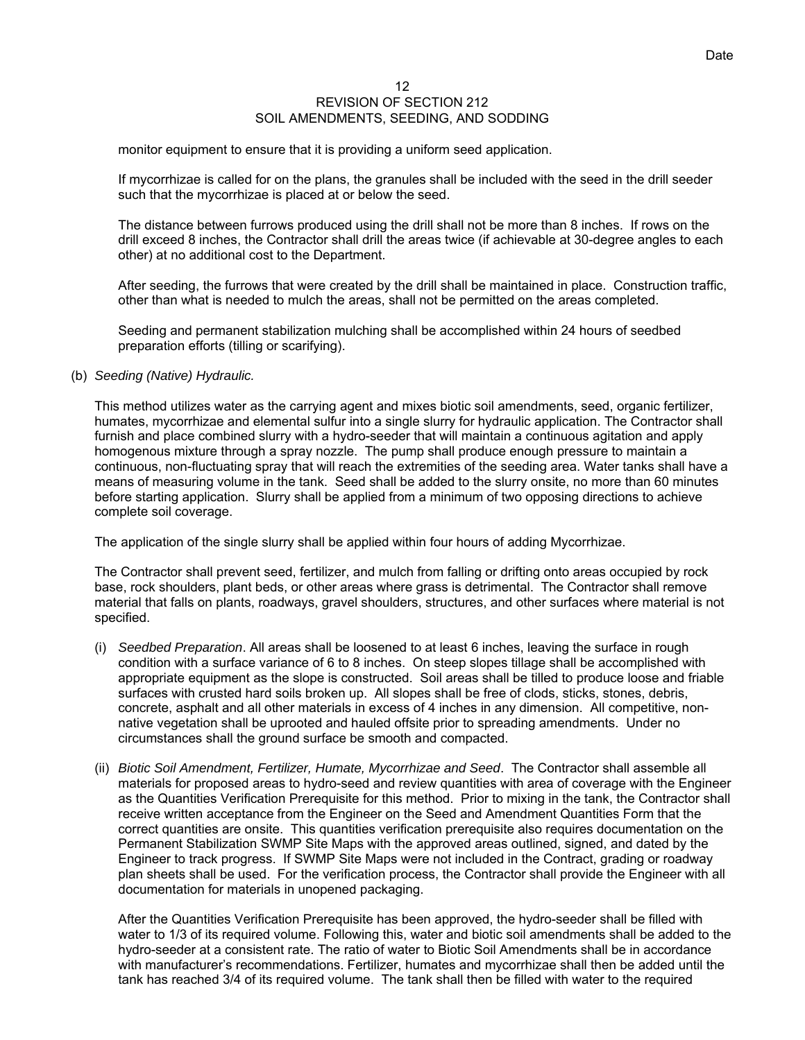monitor equipment to ensure that it is providing a uniform seed application.

If mycorrhizae is called for on the plans, the granules shall be included with the seed in the drill seeder such that the mycorrhizae is placed at or below the seed.

The distance between furrows produced using the drill shall not be more than 8 inches. If rows on the drill exceed 8 inches, the Contractor shall drill the areas twice (if achievable at 30-degree angles to each other) at no additional cost to the Department.

After seeding, the furrows that were created by the drill shall be maintained in place. Construction traffic, other than what is needed to mulch the areas, shall not be permitted on the areas completed.

Seeding and permanent stabilization mulching shall be accomplished within 24 hours of seedbed preparation efforts (tilling or scarifying).

# (b) *Seeding (Native) Hydraulic.*

This method utilizes water as the carrying agent and mixes biotic soil amendments, seed, organic fertilizer, humates, mycorrhizae and elemental sulfur into a single slurry for hydraulic application. The Contractor shall furnish and place combined slurry with a hydro-seeder that will maintain a continuous agitation and apply homogenous mixture through a spray nozzle. The pump shall produce enough pressure to maintain a continuous, non-fluctuating spray that will reach the extremities of the seeding area. Water tanks shall have a means of measuring volume in the tank. Seed shall be added to the slurry onsite, no more than 60 minutes before starting application. Slurry shall be applied from a minimum of two opposing directions to achieve complete soil coverage.

The application of the single slurry shall be applied within four hours of adding Mycorrhizae.

The Contractor shall prevent seed, fertilizer, and mulch from falling or drifting onto areas occupied by rock base, rock shoulders, plant beds, or other areas where grass is detrimental. The Contractor shall remove material that falls on plants, roadways, gravel shoulders, structures, and other surfaces where material is not specified.

- (i) *Seedbed Preparation*. All areas shall be loosened to at least 6 inches, leaving the surface in rough condition with a surface variance of 6 to 8 inches. On steep slopes tillage shall be accomplished with appropriate equipment as the slope is constructed. Soil areas shall be tilled to produce loose and friable surfaces with crusted hard soils broken up. All slopes shall be free of clods, sticks, stones, debris, concrete, asphalt and all other materials in excess of 4 inches in any dimension. All competitive, nonnative vegetation shall be uprooted and hauled offsite prior to spreading amendments. Under no circumstances shall the ground surface be smooth and compacted.
- (ii) *Biotic Soil Amendment, Fertilizer, Humate, Mycorrhizae and Seed*. The Contractor shall assemble all materials for proposed areas to hydro-seed and review quantities with area of coverage with the Engineer as the Quantities Verification Prerequisite for this method. Prior to mixing in the tank, the Contractor shall receive written acceptance from the Engineer on the Seed and Amendment Quantities Form that the correct quantities are onsite. This quantities verification prerequisite also requires documentation on the Permanent Stabilization SWMP Site Maps with the approved areas outlined, signed, and dated by the Engineer to track progress. If SWMP Site Maps were not included in the Contract, grading or roadway plan sheets shall be used. For the verification process, the Contractor shall provide the Engineer with all documentation for materials in unopened packaging.

After the Quantities Verification Prerequisite has been approved, the hydro-seeder shall be filled with water to 1/3 of its required volume. Following this, water and biotic soil amendments shall be added to the hydro-seeder at a consistent rate. The ratio of water to Biotic Soil Amendments shall be in accordance with manufacturer's recommendations. Fertilizer, humates and mycorrhizae shall then be added until the tank has reached 3/4 of its required volume. The tank shall then be filled with water to the required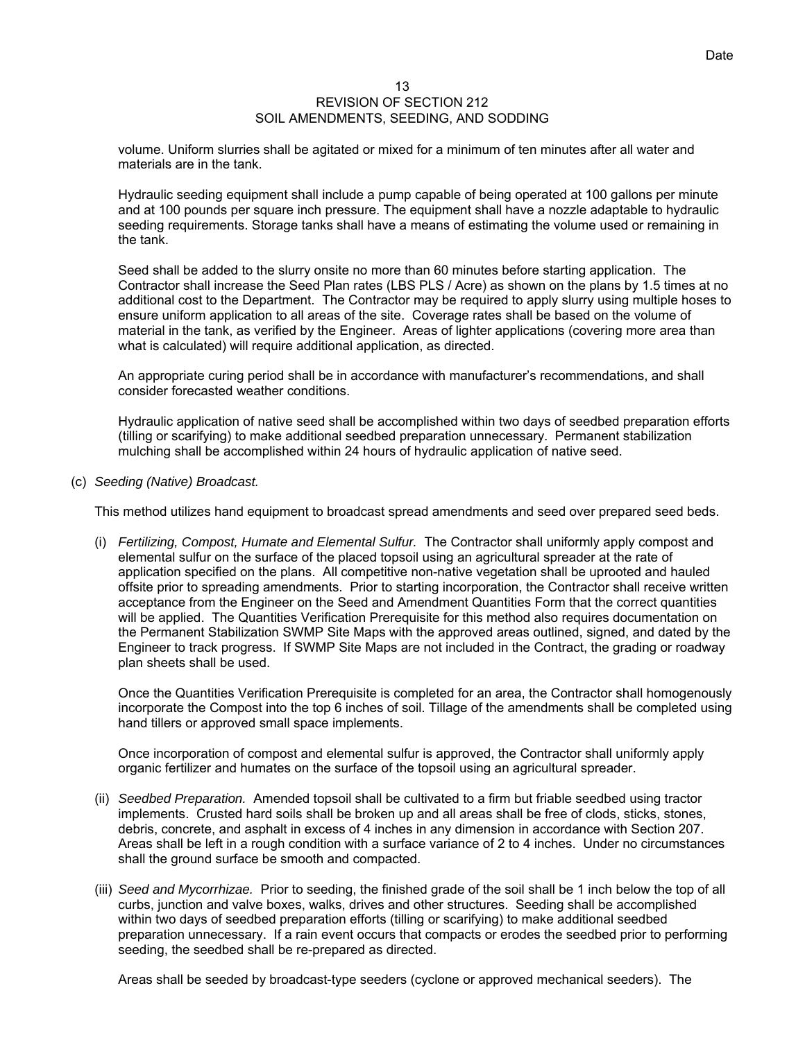volume. Uniform slurries shall be agitated or mixed for a minimum of ten minutes after all water and materials are in the tank.

Hydraulic seeding equipment shall include a pump capable of being operated at 100 gallons per minute and at 100 pounds per square inch pressure. The equipment shall have a nozzle adaptable to hydraulic seeding requirements. Storage tanks shall have a means of estimating the volume used or remaining in the tank.

Seed shall be added to the slurry onsite no more than 60 minutes before starting application. The Contractor shall increase the Seed Plan rates (LBS PLS / Acre) as shown on the plans by 1.5 times at no additional cost to the Department. The Contractor may be required to apply slurry using multiple hoses to ensure uniform application to all areas of the site. Coverage rates shall be based on the volume of material in the tank, as verified by the Engineer. Areas of lighter applications (covering more area than what is calculated) will require additional application, as directed.

An appropriate curing period shall be in accordance with manufacturer's recommendations, and shall consider forecasted weather conditions.

Hydraulic application of native seed shall be accomplished within two days of seedbed preparation efforts (tilling or scarifying) to make additional seedbed preparation unnecessary. Permanent stabilization mulching shall be accomplished within 24 hours of hydraulic application of native seed.

(c) *Seeding (Native) Broadcast.*

This method utilizes hand equipment to broadcast spread amendments and seed over prepared seed beds.

(i) *Fertilizing, Compost, Humate and Elemental Sulfur.* The Contractor shall uniformly apply compost and elemental sulfur on the surface of the placed topsoil using an agricultural spreader at the rate of application specified on the plans. All competitive non-native vegetation shall be uprooted and hauled offsite prior to spreading amendments. Prior to starting incorporation, the Contractor shall receive written acceptance from the Engineer on the Seed and Amendment Quantities Form that the correct quantities will be applied. The Quantities Verification Prerequisite for this method also requires documentation on the Permanent Stabilization SWMP Site Maps with the approved areas outlined, signed, and dated by the Engineer to track progress. If SWMP Site Maps are not included in the Contract, the grading or roadway plan sheets shall be used.

Once the Quantities Verification Prerequisite is completed for an area, the Contractor shall homogenously incorporate the Compost into the top 6 inches of soil. Tillage of the amendments shall be completed using hand tillers or approved small space implements.

Once incorporation of compost and elemental sulfur is approved, the Contractor shall uniformly apply organic fertilizer and humates on the surface of the topsoil using an agricultural spreader.

- (ii) *Seedbed Preparation.* Amended topsoil shall be cultivated to a firm but friable seedbed using tractor implements. Crusted hard soils shall be broken up and all areas shall be free of clods, sticks, stones, debris, concrete, and asphalt in excess of 4 inches in any dimension in accordance with Section 207. Areas shall be left in a rough condition with a surface variance of 2 to 4 inches. Under no circumstances shall the ground surface be smooth and compacted.
- (iii) *Seed and Mycorrhizae.* Prior to seeding, the finished grade of the soil shall be 1 inch below the top of all curbs, junction and valve boxes, walks, drives and other structures. Seeding shall be accomplished within two days of seedbed preparation efforts (tilling or scarifying) to make additional seedbed preparation unnecessary. If a rain event occurs that compacts or erodes the seedbed prior to performing seeding, the seedbed shall be re-prepared as directed.

Areas shall be seeded by broadcast-type seeders (cyclone or approved mechanical seeders). The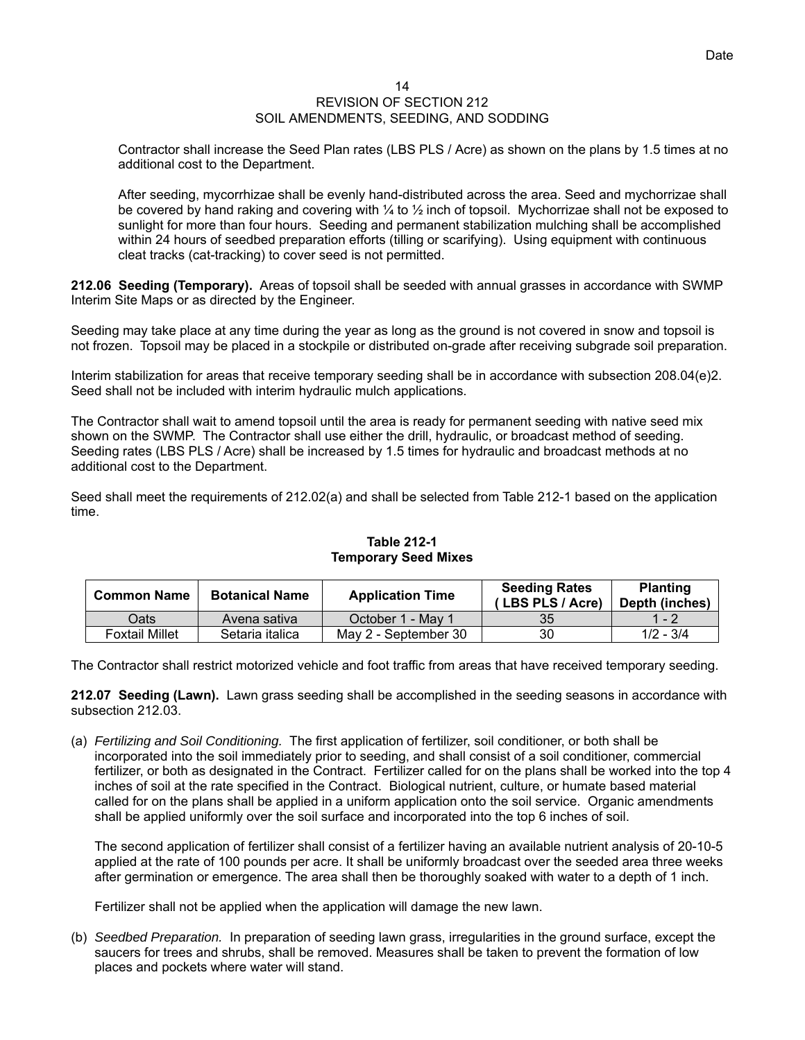# 14

## REVISION OF SECTION 212 SOIL AMENDMENTS, SEEDING, AND SODDING

Contractor shall increase the Seed Plan rates (LBS PLS / Acre) as shown on the plans by 1.5 times at no additional cost to the Department.

After seeding, mycorrhizae shall be evenly hand-distributed across the area. Seed and mychorrizae shall be covered by hand raking and covering with  $\frac{1}{4}$  to  $\frac{1}{2}$  inch of topsoil. Mychorrizae shall not be exposed to sunlight for more than four hours. Seeding and permanent stabilization mulching shall be accomplished within 24 hours of seedbed preparation efforts (tilling or scarifying). Using equipment with continuous cleat tracks (cat-tracking) to cover seed is not permitted.

**212.06 Seeding (Temporary).** Areas of topsoil shall be seeded with annual grasses in accordance with SWMP Interim Site Maps or as directed by the Engineer.

Seeding may take place at any time during the year as long as the ground is not covered in snow and topsoil is not frozen. Topsoil may be placed in a stockpile or distributed on-grade after receiving subgrade soil preparation.

Interim stabilization for areas that receive temporary seeding shall be in accordance with subsection 208.04(e)2. Seed shall not be included with interim hydraulic mulch applications.

The Contractor shall wait to amend topsoil until the area is ready for permanent seeding with native seed mix shown on the SWMP. The Contractor shall use either the drill, hydraulic, or broadcast method of seeding. Seeding rates (LBS PLS / Acre) shall be increased by 1.5 times for hydraulic and broadcast methods at no additional cost to the Department.

Seed shall meet the requirements of 212.02(a) and shall be selected from Table 212-1 based on the application time.

| <b>Common Name</b>    | <b>Botanical Name</b> | <b>Application Time</b> | <b>Seeding Rates</b><br>(LBS PLS / Acre) | <b>Planting</b><br>Depth (inches) |
|-----------------------|-----------------------|-------------------------|------------------------------------------|-----------------------------------|
| Oats                  | Avena sativa          | October 1 - May 1       | 35                                       | 1 - 2                             |
| <b>Foxtail Millet</b> | Setaria italica       | May 2 - September 30    | 30                                       | $1/2 - 3/4$                       |

# **Table 212-1 Temporary Seed Mixes**

The Contractor shall restrict motorized vehicle and foot traffic from areas that have received temporary seeding.

**212.07 Seeding (Lawn).** Lawn grass seeding shall be accomplished in the seeding seasons in accordance with subsection 212.03.

(a) *Fertilizing and Soil Conditioning.* The first application of fertilizer, soil conditioner, or both shall be incorporated into the soil immediately prior to seeding, and shall consist of a soil conditioner, commercial fertilizer, or both as designated in the Contract. Fertilizer called for on the plans shall be worked into the top 4 inches of soil at the rate specified in the Contract. Biological nutrient, culture, or humate based material called for on the plans shall be applied in a uniform application onto the soil service. Organic amendments shall be applied uniformly over the soil surface and incorporated into the top 6 inches of soil.

The second application of fertilizer shall consist of a fertilizer having an available nutrient analysis of 20-10-5 applied at the rate of 100 pounds per acre. It shall be uniformly broadcast over the seeded area three weeks after germination or emergence. The area shall then be thoroughly soaked with water to a depth of 1 inch.

Fertilizer shall not be applied when the application will damage the new lawn.

(b) *Seedbed Preparation.* In preparation of seeding lawn grass, irregularities in the ground surface, except the saucers for trees and shrubs, shall be removed. Measures shall be taken to prevent the formation of low places and pockets where water will stand.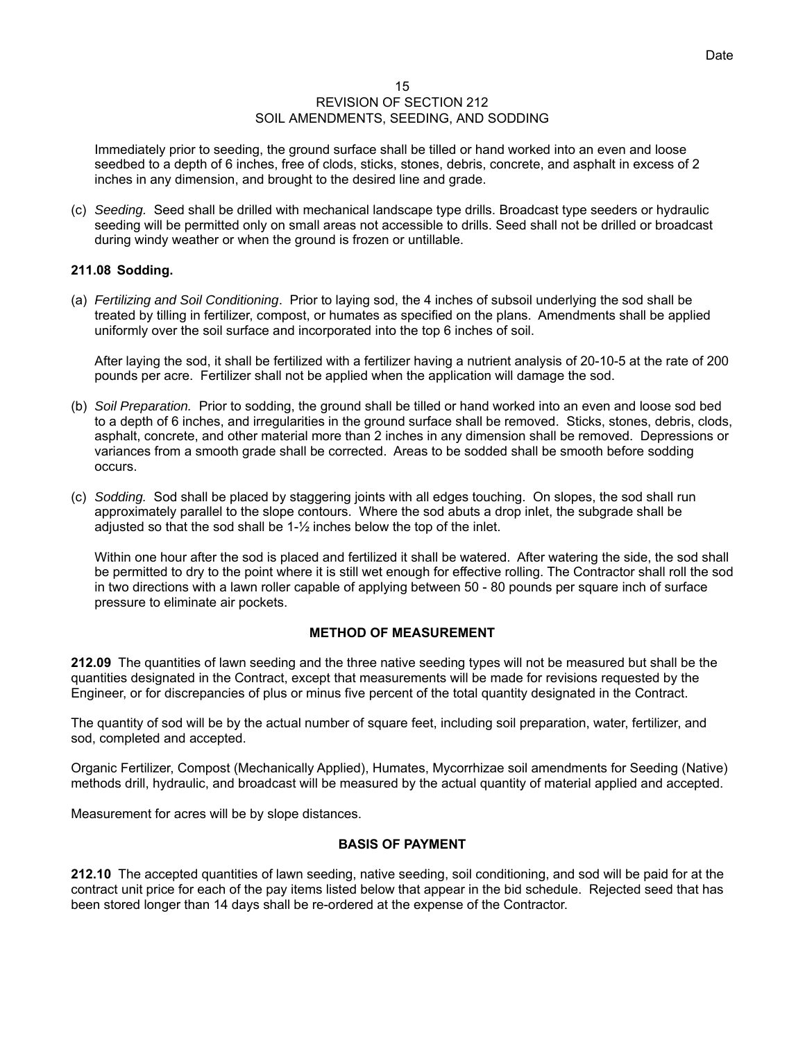Immediately prior to seeding, the ground surface shall be tilled or hand worked into an even and loose seedbed to a depth of 6 inches, free of clods, sticks, stones, debris, concrete, and asphalt in excess of 2 inches in any dimension, and brought to the desired line and grade.

(c) *Seeding.* Seed shall be drilled with mechanical landscape type drills. Broadcast type seeders or hydraulic seeding will be permitted only on small areas not accessible to drills. Seed shall not be drilled or broadcast during windy weather or when the ground is frozen or untillable.

# **211.08 Sodding.**

(a) *Fertilizing and Soil Conditioning*. Prior to laying sod, the 4 inches of subsoil underlying the sod shall be treated by tilling in fertilizer, compost, or humates as specified on the plans. Amendments shall be applied uniformly over the soil surface and incorporated into the top 6 inches of soil.

After laying the sod, it shall be fertilized with a fertilizer having a nutrient analysis of 20-10-5 at the rate of 200 pounds per acre. Fertilizer shall not be applied when the application will damage the sod.

- (b) *Soil Preparation.* Prior to sodding, the ground shall be tilled or hand worked into an even and loose sod bed to a depth of 6 inches, and irregularities in the ground surface shall be removed. Sticks, stones, debris, clods, asphalt, concrete, and other material more than 2 inches in any dimension shall be removed. Depressions or variances from a smooth grade shall be corrected. Areas to be sodded shall be smooth before sodding occurs.
- (c) *Sodding.* Sod shall be placed by staggering joints with all edges touching. On slopes, the sod shall run approximately parallel to the slope contours. Where the sod abuts a drop inlet, the subgrade shall be adjusted so that the sod shall be 1-½ inches below the top of the inlet.

Within one hour after the sod is placed and fertilized it shall be watered. After watering the side, the sod shall be permitted to dry to the point where it is still wet enough for effective rolling. The Contractor shall roll the sod in two directions with a lawn roller capable of applying between 50 - 80 pounds per square inch of surface pressure to eliminate air pockets.

# **METHOD OF MEASUREMENT**

**212.09** The quantities of lawn seeding and the three native seeding types will not be measured but shall be the quantities designated in the Contract, except that measurements will be made for revisions requested by the Engineer, or for discrepancies of plus or minus five percent of the total quantity designated in the Contract.

The quantity of sod will be by the actual number of square feet, including soil preparation, water, fertilizer, and sod, completed and accepted.

Organic Fertilizer, Compost (Mechanically Applied), Humates, Mycorrhizae soil amendments for Seeding (Native) methods drill, hydraulic, and broadcast will be measured by the actual quantity of material applied and accepted.

Measurement for acres will be by slope distances.

# **BASIS OF PAYMENT**

**212.10** The accepted quantities of lawn seeding, native seeding, soil conditioning, and sod will be paid for at the contract unit price for each of the pay items listed below that appear in the bid schedule. Rejected seed that has been stored longer than 14 days shall be re-ordered at the expense of the Contractor.